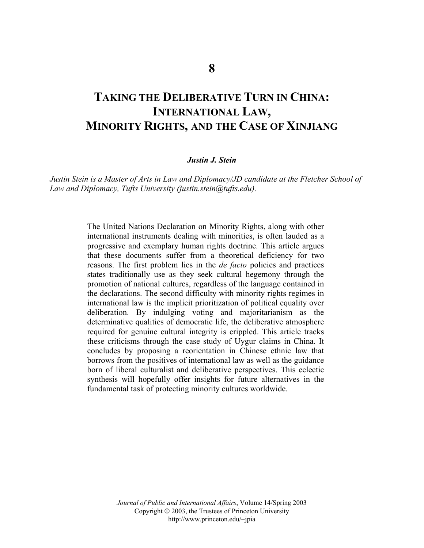# **TAKING THE DELIBERATIVE TURN IN CHINA: INTERNATIONAL LAW, MINORITY RIGHTS, AND THE CASE OF XINJIANG**

# *Justin J. Stein*

*Justin Stein is a Master of Arts in Law and Diplomacy/JD candidate at the Fletcher School of Law and Diplomacy, Tufts University (justin.stein@tufts.edu).* 

> The United Nations Declaration on Minority Rights, along with other international instruments dealing with minorities, is often lauded as a progressive and exemplary human rights doctrine. This article argues that these documents suffer from a theoretical deficiency for two reasons. The first problem lies in the *de facto* policies and practices states traditionally use as they seek cultural hegemony through the promotion of national cultures, regardless of the language contained in the declarations. The second difficulty with minority rights regimes in international law is the implicit prioritization of political equality over deliberation. By indulging voting and majoritarianism as the determinative qualities of democratic life, the deliberative atmosphere required for genuine cultural integrity is crippled. This article tracks these criticisms through the case study of Uygur claims in China. It concludes by proposing a reorientation in Chinese ethnic law that borrows from the positives of international law as well as the guidance born of liberal culturalist and deliberative perspectives. This eclectic synthesis will hopefully offer insights for future alternatives in the fundamental task of protecting minority cultures worldwide.

> > *Journal of Public and International Affairs*, Volume 14/Spring 2003 Copyright  $\odot$  2003, the Trustees of Princeton University http://www.princeton.edu/~jpia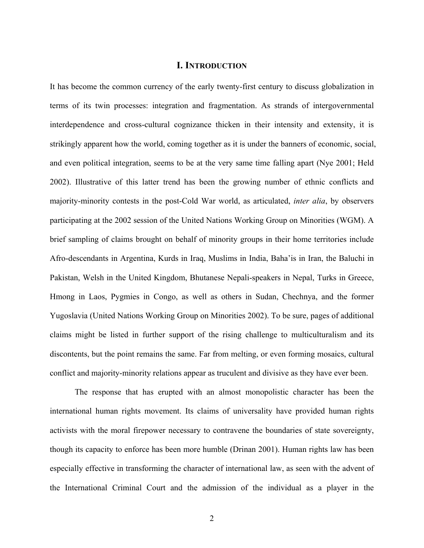# **I. INTRODUCTION**

It has become the common currency of the early twenty-first century to discuss globalization in terms of its twin processes: integration and fragmentation. As strands of intergovernmental interdependence and cross-cultural cognizance thicken in their intensity and extensity, it is strikingly apparent how the world, coming together as it is under the banners of economic, social, and even political integration, seems to be at the very same time falling apart (Nye 2001; Held 2002). Illustrative of this latter trend has been the growing number of ethnic conflicts and majority-minority contests in the post-Cold War world, as articulated, *inter alia*, by observers participating at the 2002 session of the United Nations Working Group on Minorities (WGM). A brief sampling of claims brought on behalf of minority groups in their home territories include Afro-descendants in Argentina, Kurds in Iraq, Muslims in India, Baha'is in Iran, the Baluchi in Pakistan, Welsh in the United Kingdom, Bhutanese Nepali-speakers in Nepal, Turks in Greece, Hmong in Laos, Pygmies in Congo, as well as others in Sudan, Chechnya, and the former Yugoslavia (United Nations Working Group on Minorities 2002). To be sure, pages of additional claims might be listed in further support of the rising challenge to multiculturalism and its discontents, but the point remains the same. Far from melting, or even forming mosaics, cultural conflict and majority-minority relations appear as truculent and divisive as they have ever been.

The response that has erupted with an almost monopolistic character has been the international human rights movement. Its claims of universality have provided human rights activists with the moral firepower necessary to contravene the boundaries of state sovereignty, though its capacity to enforce has been more humble (Drinan 2001). Human rights law has been especially effective in transforming the character of international law, as seen with the advent of the International Criminal Court and the admission of the individual as a player in the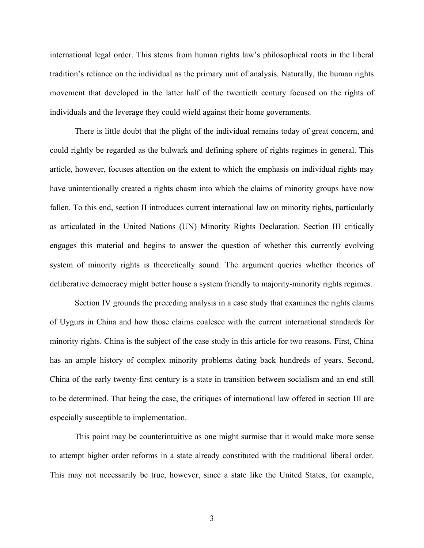international legal order. This stems from human rights law's philosophical roots in the liberal tradition's reliance on the individual as the primary unit of analysis. Naturally, the human rights movement that developed in the latter half of the twentieth century focused on the rights of individuals and the leverage they could wield against their home governments.

There is little doubt that the plight of the individual remains today of great concern, and could rightly be regarded as the bulwark and defining sphere of rights regimes in general. This article, however, focuses attention on the extent to which the emphasis on individual rights may have unintentionally created a rights chasm into which the claims of minority groups have now fallen. To this end, section II introduces current international law on minority rights, particularly as articulated in the United Nations (UN) Minority Rights Declaration. Section III critically engages this material and begins to answer the question of whether this currently evolving system of minority rights is theoretically sound. The argument queries whether theories of deliberative democracy might better house a system friendly to majority-minority rights regimes.

Section IV grounds the preceding analysis in a case study that examines the rights claims of Uygurs in China and how those claims coalesce with the current international standards for minority rights. China is the subject of the case study in this article for two reasons. First, China has an ample history of complex minority problems dating back hundreds of years. Second, China of the early twenty-first century is a state in transition between socialism and an end still to be determined. That being the case, the critiques of international law offered in section III are especially susceptible to implementation.

This point may be counterintuitive as one might surmise that it would make more sense to attempt higher order reforms in a state already constituted with the traditional liberal order. This may not necessarily be true, however, since a state like the United States, for example,

3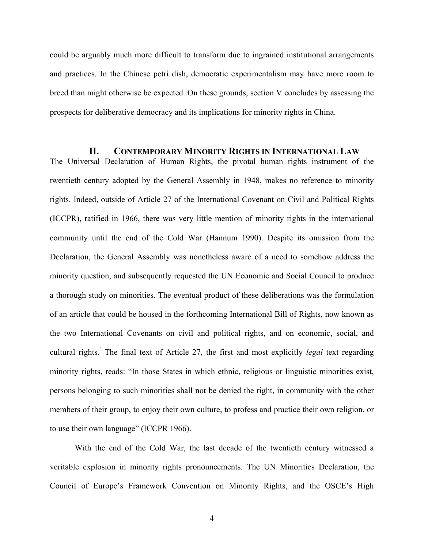could be arguably much more difficult to transform due to ingrained institutional arrangements and practices. In the Chinese petri dish, democratic experimentalism may have more room to breed than might otherwise be expected. On these grounds, section V concludes by assessing the prospects for deliberative democracy and its implications for minority rights in China.

**II. CONTEMPORARY MINORITY RIGHTS IN INTERNATIONAL LAW** The Universal Declaration of Human Rights, the pivotal human rights instrument of the twentieth century adopted by the General Assembly in 1948, makes no reference to minority rights. Indeed, outside of Article 27 of the International Covenant on Civil and Political Rights (ICCPR), ratified in 1966, there was very little mention of minority rights in the international community until the end of the Cold War (Hannum 1990). Despite its omission from the Declaration, the General Assembly was nonetheless aware of a need to somehow address the minority question, and subsequently requested the UN Economic and Social Council to produce a thorough study on minorities. The eventual product of these deliberations was the formulation of an article that could be housed in the forthcoming International Bill of Rights, now known as the two International Covenants on civil and political rights, and on economic, social, and cultural rights.<sup>1</sup> The final text of Article 27, the first and most explicitly *legal* text regarding minority rights, reads: "In those States in which ethnic, religious or linguistic minorities exist, persons belonging to such minorities shall not be denied the right, in community with the other members of their group, to enjoy their own culture, to profess and practice their own religion, or to use their own language" (ICCPR 1966).

 With the end of the Cold War, the last decade of the twentieth century witnessed a veritable explosion in minority rights pronouncements. The UN Minorities Declaration, the Council of Europe's Framework Convention on Minority Rights, and the OSCE's High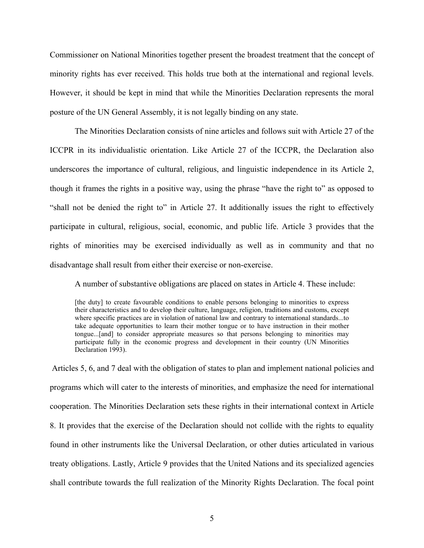Commissioner on National Minorities together present the broadest treatment that the concept of minority rights has ever received. This holds true both at the international and regional levels. However, it should be kept in mind that while the Minorities Declaration represents the moral posture of the UN General Assembly, it is not legally binding on any state.

The Minorities Declaration consists of nine articles and follows suit with Article 27 of the ICCPR in its individualistic orientation. Like Article 27 of the ICCPR, the Declaration also underscores the importance of cultural, religious, and linguistic independence in its Article 2, though it frames the rights in a positive way, using the phrase "have the right to" as opposed to "shall not be denied the right to" in Article 27. It additionally issues the right to effectively participate in cultural, religious, social, economic, and public life. Article 3 provides that the rights of minorities may be exercised individually as well as in community and that no disadvantage shall result from either their exercise or non-exercise.

A number of substantive obligations are placed on states in Article 4. These include:

[the duty] to create favourable conditions to enable persons belonging to minorities to express their characteristics and to develop their culture, language, religion, traditions and customs, except where specific practices are in violation of national law and contrary to international standards...to take adequate opportunities to learn their mother tongue or to have instruction in their mother tongue...[and] to consider appropriate measures so that persons belonging to minorities may participate fully in the economic progress and development in their country (UN Minorities Declaration 1993).

Articles 5, 6, and 7 deal with the obligation of states to plan and implement national policies and programs which will cater to the interests of minorities, and emphasize the need for international cooperation. The Minorities Declaration sets these rights in their international context in Article 8. It provides that the exercise of the Declaration should not collide with the rights to equality found in other instruments like the Universal Declaration, or other duties articulated in various treaty obligations. Lastly, Article 9 provides that the United Nations and its specialized agencies shall contribute towards the full realization of the Minority Rights Declaration. The focal point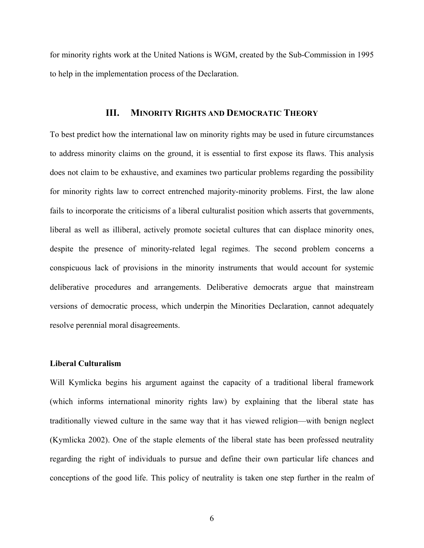for minority rights work at the United Nations is WGM, created by the Sub-Commission in 1995 to help in the implementation process of the Declaration.

# **III. MINORITY RIGHTS AND DEMOCRATIC THEORY**

To best predict how the international law on minority rights may be used in future circumstances to address minority claims on the ground, it is essential to first expose its flaws. This analysis does not claim to be exhaustive, and examines two particular problems regarding the possibility for minority rights law to correct entrenched majority-minority problems. First, the law alone fails to incorporate the criticisms of a liberal culturalist position which asserts that governments, liberal as well as illiberal, actively promote societal cultures that can displace minority ones, despite the presence of minority-related legal regimes. The second problem concerns a conspicuous lack of provisions in the minority instruments that would account for systemic deliberative procedures and arrangements. Deliberative democrats argue that mainstream versions of democratic process, which underpin the Minorities Declaration, cannot adequately resolve perennial moral disagreements.

#### **Liberal Culturalism**

Will Kymlicka begins his argument against the capacity of a traditional liberal framework (which informs international minority rights law) by explaining that the liberal state has traditionally viewed culture in the same way that it has viewed religion—with benign neglect (Kymlicka 2002). One of the staple elements of the liberal state has been professed neutrality regarding the right of individuals to pursue and define their own particular life chances and conceptions of the good life. This policy of neutrality is taken one step further in the realm of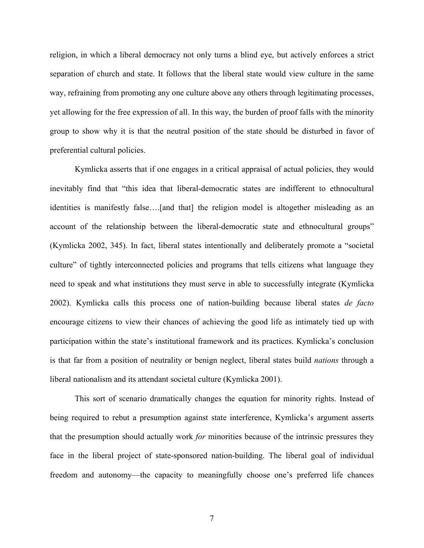religion, in which a liberal democracy not only turns a blind eye, but actively enforces a strict separation of church and state. It follows that the liberal state would view culture in the same way, refraining from promoting any one culture above any others through legitimating processes, yet allowing for the free expression of all. In this way, the burden of proof falls with the minority group to show why it is that the neutral position of the state should be disturbed in favor of preferential cultural policies.

Kymlicka asserts that if one engages in a critical appraisal of actual policies, they would inevitably find that "this idea that liberal-democratic states are indifferent to ethnocultural identities is manifestly false….[and that] the religion model is altogether misleading as an account of the relationship between the liberal-democratic state and ethnocultural groups" (Kymlicka 2002, 345). In fact, liberal states intentionally and deliberately promote a "societal culture" of tightly interconnected policies and programs that tells citizens what language they need to speak and what institutions they must serve in able to successfully integrate (Kymlicka 2002). Kymlicka calls this process one of nation-building because liberal states *de facto*  encourage citizens to view their chances of achieving the good life as intimately tied up with participation within the state's institutional framework and its practices. Kymlicka's conclusion is that far from a position of neutrality or benign neglect, liberal states build *nations* through a liberal nationalism and its attendant societal culture (Kymlicka 2001).

This sort of scenario dramatically changes the equation for minority rights. Instead of being required to rebut a presumption against state interference, Kymlicka's argument asserts that the presumption should actually work *for* minorities because of the intrinsic pressures they face in the liberal project of state-sponsored nation-building. The liberal goal of individual freedom and autonomy—the capacity to meaningfully choose one's preferred life chances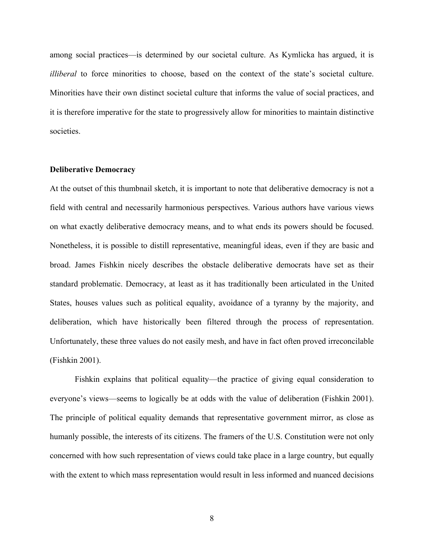among social practices—is determined by our societal culture. As Kymlicka has argued, it is *illiberal* to force minorities to choose, based on the context of the state's societal culture. Minorities have their own distinct societal culture that informs the value of social practices, and it is therefore imperative for the state to progressively allow for minorities to maintain distinctive societies.

# **Deliberative Democracy**

At the outset of this thumbnail sketch, it is important to note that deliberative democracy is not a field with central and necessarily harmonious perspectives. Various authors have various views on what exactly deliberative democracy means, and to what ends its powers should be focused. Nonetheless, it is possible to distill representative, meaningful ideas, even if they are basic and broad. James Fishkin nicely describes the obstacle deliberative democrats have set as their standard problematic. Democracy, at least as it has traditionally been articulated in the United States, houses values such as political equality, avoidance of a tyranny by the majority, and deliberation, which have historically been filtered through the process of representation. Unfortunately, these three values do not easily mesh, and have in fact often proved irreconcilable (Fishkin 2001).

Fishkin explains that political equality—the practice of giving equal consideration to everyone's views—seems to logically be at odds with the value of deliberation (Fishkin 2001). The principle of political equality demands that representative government mirror, as close as humanly possible, the interests of its citizens. The framers of the U.S. Constitution were not only concerned with how such representation of views could take place in a large country, but equally with the extent to which mass representation would result in less informed and nuanced decisions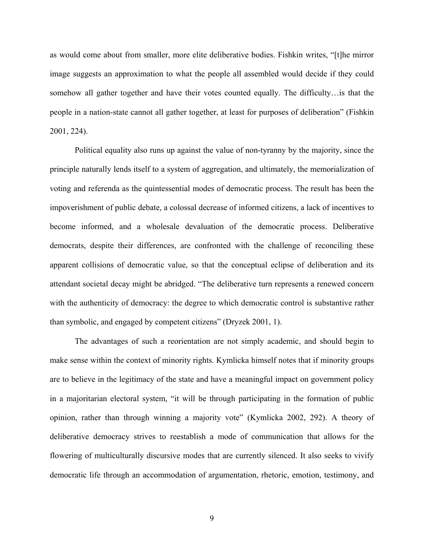as would come about from smaller, more elite deliberative bodies. Fishkin writes, "[t]he mirror image suggests an approximation to what the people all assembled would decide if they could somehow all gather together and have their votes counted equally. The difficulty…is that the people in a nation-state cannot all gather together, at least for purposes of deliberation" (Fishkin 2001, 224).

Political equality also runs up against the value of non-tyranny by the majority, since the principle naturally lends itself to a system of aggregation, and ultimately, the memorialization of voting and referenda as the quintessential modes of democratic process. The result has been the impoverishment of public debate, a colossal decrease of informed citizens, a lack of incentives to become informed, and a wholesale devaluation of the democratic process. Deliberative democrats, despite their differences, are confronted with the challenge of reconciling these apparent collisions of democratic value, so that the conceptual eclipse of deliberation and its attendant societal decay might be abridged. "The deliberative turn represents a renewed concern with the authenticity of democracy: the degree to which democratic control is substantive rather than symbolic, and engaged by competent citizens" (Dryzek 2001, 1).

 The advantages of such a reorientation are not simply academic, and should begin to make sense within the context of minority rights. Kymlicka himself notes that if minority groups are to believe in the legitimacy of the state and have a meaningful impact on government policy in a majoritarian electoral system, "it will be through participating in the formation of public opinion, rather than through winning a majority vote" (Kymlicka 2002, 292). A theory of deliberative democracy strives to reestablish a mode of communication that allows for the flowering of multiculturally discursive modes that are currently silenced. It also seeks to vivify democratic life through an accommodation of argumentation, rhetoric, emotion, testimony, and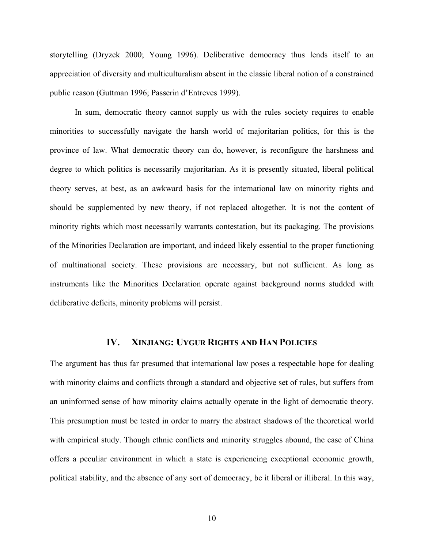storytelling (Dryzek 2000; Young 1996). Deliberative democracy thus lends itself to an appreciation of diversity and multiculturalism absent in the classic liberal notion of a constrained public reason (Guttman 1996; Passerin d'Entreves 1999).

 In sum, democratic theory cannot supply us with the rules society requires to enable minorities to successfully navigate the harsh world of majoritarian politics, for this is the province of law. What democratic theory can do, however, is reconfigure the harshness and degree to which politics is necessarily majoritarian. As it is presently situated, liberal political theory serves, at best, as an awkward basis for the international law on minority rights and should be supplemented by new theory, if not replaced altogether. It is not the content of minority rights which most necessarily warrants contestation, but its packaging. The provisions of the Minorities Declaration are important, and indeed likely essential to the proper functioning of multinational society. These provisions are necessary, but not sufficient. As long as instruments like the Minorities Declaration operate against background norms studded with deliberative deficits, minority problems will persist.

# **IV. XINJIANG: UYGUR RIGHTS AND HAN POLICIES**

The argument has thus far presumed that international law poses a respectable hope for dealing with minority claims and conflicts through a standard and objective set of rules, but suffers from an uninformed sense of how minority claims actually operate in the light of democratic theory. This presumption must be tested in order to marry the abstract shadows of the theoretical world with empirical study. Though ethnic conflicts and minority struggles abound, the case of China offers a peculiar environment in which a state is experiencing exceptional economic growth, political stability, and the absence of any sort of democracy, be it liberal or illiberal. In this way,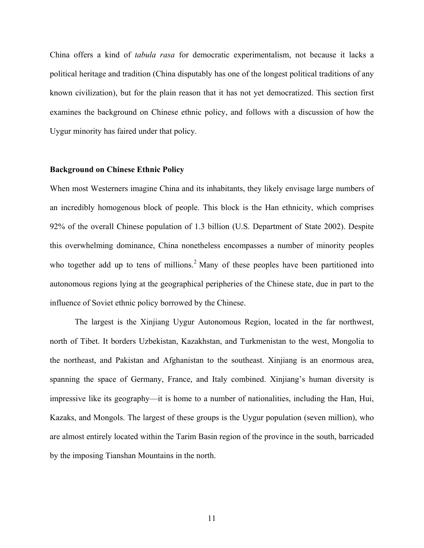China offers a kind of *tabula rasa* for democratic experimentalism, not because it lacks a political heritage and tradition (China disputably has one of the longest political traditions of any known civilization), but for the plain reason that it has not yet democratized. This section first examines the background on Chinese ethnic policy, and follows with a discussion of how the Uygur minority has faired under that policy.

#### **Background on Chinese Ethnic Policy**

When most Westerners imagine China and its inhabitants, they likely envisage large numbers of an incredibly homogenous block of people. This block is the Han ethnicity, which comprises 92% of the overall Chinese population of 1.3 billion (U.S. Department of State 2002). Despite this overwhelming dominance, China nonetheless encompasses a number of minority peoples who together add up to tens of millions.<sup>2</sup> Many of these peoples have been partitioned into autonomous regions lying at the geographical peripheries of the Chinese state, due in part to the influence of Soviet ethnic policy borrowed by the Chinese.

The largest is the Xinjiang Uygur Autonomous Region, located in the far northwest, north of Tibet. It borders Uzbekistan, Kazakhstan, and Turkmenistan to the west, Mongolia to the northeast, and Pakistan and Afghanistan to the southeast. Xinjiang is an enormous area, spanning the space of Germany, France, and Italy combined. Xinjiang's human diversity is impressive like its geography—it is home to a number of nationalities, including the Han, Hui, Kazaks, and Mongols. The largest of these groups is the Uygur population (seven million), who are almost entirely located within the Tarim Basin region of the province in the south, barricaded by the imposing Tianshan Mountains in the north.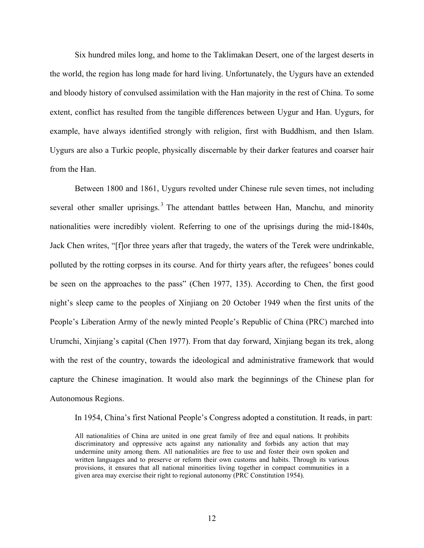Six hundred miles long, and home to the Taklimakan Desert, one of the largest deserts in the world, the region has long made for hard living. Unfortunately, the Uygurs have an extended and bloody history of convulsed assimilation with the Han majority in the rest of China. To some extent, conflict has resulted from the tangible differences between Uygur and Han. Uygurs, for example, have always identified strongly with religion, first with Buddhism, and then Islam. Uygurs are also a Turkic people, physically discernable by their darker features and coarser hair from the Han.

Between 1800 and 1861, Uygurs revolted under Chinese rule seven times, not including several other smaller uprisings.<sup>3</sup> The attendant battles between Han, Manchu, and minority nationalities were incredibly violent. Referring to one of the uprisings during the mid-1840s, Jack Chen writes, "[f]or three years after that tragedy, the waters of the Terek were undrinkable, polluted by the rotting corpses in its course. And for thirty years after, the refugees' bones could be seen on the approaches to the pass" (Chen 1977, 135). According to Chen, the first good night's sleep came to the peoples of Xinjiang on 20 October 1949 when the first units of the People's Liberation Army of the newly minted People's Republic of China (PRC) marched into Urumchi, Xinjiang's capital (Chen 1977). From that day forward, Xinjiang began its trek, along with the rest of the country, towards the ideological and administrative framework that would capture the Chinese imagination. It would also mark the beginnings of the Chinese plan for Autonomous Regions.

In 1954, China's first National People's Congress adopted a constitution. It reads, in part:

All nationalities of China are united in one great family of free and equal nations. It prohibits discriminatory and oppressive acts against any nationality and forbids any action that may undermine unity among them. All nationalities are free to use and foster their own spoken and written languages and to preserve or reform their own customs and habits. Through its various provisions, it ensures that all national minorities living together in compact communities in a given area may exercise their right to regional autonomy (PRC Constitution 1954).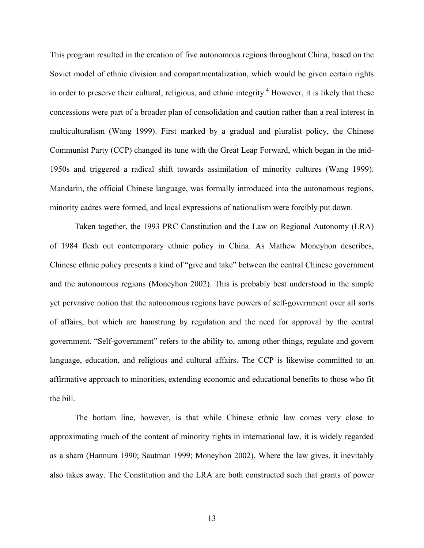This program resulted in the creation of five autonomous regions throughout China, based on the Soviet model of ethnic division and compartmentalization, which would be given certain rights in order to preserve their cultural, religious, and ethnic integrity.<sup>4</sup> However, it is likely that these concessions were part of a broader plan of consolidation and caution rather than a real interest in multiculturalism (Wang 1999). First marked by a gradual and pluralist policy, the Chinese Communist Party (CCP) changed its tune with the Great Leap Forward, which began in the mid-1950s and triggered a radical shift towards assimilation of minority cultures (Wang 1999). Mandarin, the official Chinese language, was formally introduced into the autonomous regions, minority cadres were formed, and local expressions of nationalism were forcibly put down.

 Taken together, the 1993 PRC Constitution and the Law on Regional Autonomy (LRA) of 1984 flesh out contemporary ethnic policy in China. As Mathew Moneyhon describes, Chinese ethnic policy presents a kind of "give and take" between the central Chinese government and the autonomous regions (Moneyhon 2002). This is probably best understood in the simple yet pervasive notion that the autonomous regions have powers of self-government over all sorts of affairs, but which are hamstrung by regulation and the need for approval by the central government. "Self-government" refers to the ability to, among other things, regulate and govern language, education, and religious and cultural affairs. The CCP is likewise committed to an affirmative approach to minorities, extending economic and educational benefits to those who fit the bill.

The bottom line, however, is that while Chinese ethnic law comes very close to approximating much of the content of minority rights in international law, it is widely regarded as a sham (Hannum 1990; Sautman 1999; Moneyhon 2002). Where the law gives, it inevitably also takes away. The Constitution and the LRA are both constructed such that grants of power

13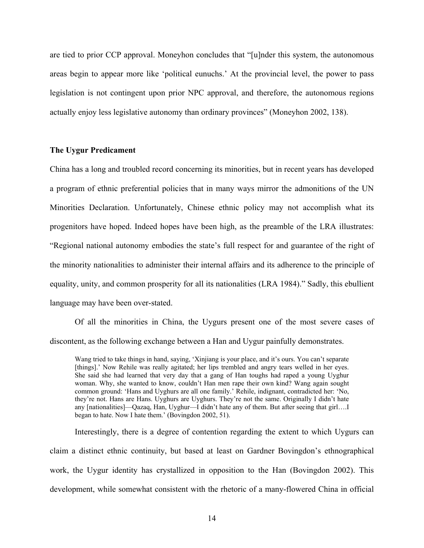are tied to prior CCP approval. Moneyhon concludes that "[u]nder this system, the autonomous areas begin to appear more like 'political eunuchs.' At the provincial level, the power to pass legislation is not contingent upon prior NPC approval, and therefore, the autonomous regions actually enjoy less legislative autonomy than ordinary provinces" (Moneyhon 2002, 138).

# **The Uygur Predicament**

China has a long and troubled record concerning its minorities, but in recent years has developed a program of ethnic preferential policies that in many ways mirror the admonitions of the UN Minorities Declaration. Unfortunately, Chinese ethnic policy may not accomplish what its progenitors have hoped. Indeed hopes have been high, as the preamble of the LRA illustrates: "Regional national autonomy embodies the state's full respect for and guarantee of the right of the minority nationalities to administer their internal affairs and its adherence to the principle of equality, unity, and common prosperity for all its nationalities (LRA 1984)." Sadly, this ebullient language may have been over-stated.

 Of all the minorities in China, the Uygurs present one of the most severe cases of discontent, as the following exchange between a Han and Uygur painfully demonstrates.

Wang tried to take things in hand, saying, 'Xinjiang is your place, and it's ours. You can't separate [things].' Now Rehile was really agitated; her lips trembled and angry tears welled in her eyes. She said she had learned that very day that a gang of Han toughs had raped a young Uyghur woman. Why, she wanted to know, couldn't Han men rape their own kind? Wang again sought common ground: 'Hans and Uyghurs are all one family.' Rehile, indignant, contradicted her: 'No, they're not. Hans are Hans. Uyghurs are Uyghurs. They're not the same. Originally I didn't hate any [nationalities]—Qazaq, Han, Uyghur—I didn't hate any of them. But after seeing that girl….I began to hate. Now I hate them.' (Bovingdon 2002, 51).

Interestingly, there is a degree of contention regarding the extent to which Uygurs can claim a distinct ethnic continuity, but based at least on Gardner Bovingdon's ethnographical work, the Uygur identity has crystallized in opposition to the Han (Bovingdon 2002). This development, while somewhat consistent with the rhetoric of a many-flowered China in official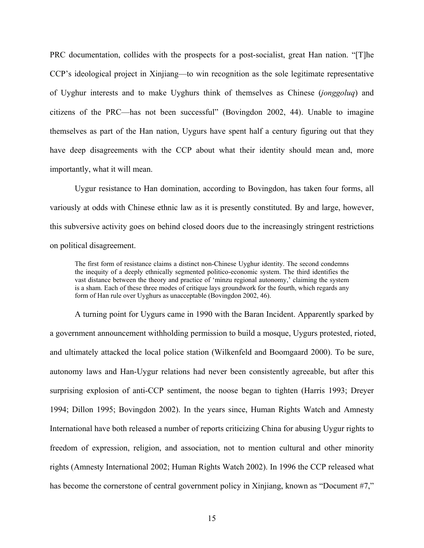PRC documentation, collides with the prospects for a post-socialist, great Han nation. "[T]he CCP's ideological project in Xinjiang—to win recognition as the sole legitimate representative of Uyghur interests and to make Uyghurs think of themselves as Chinese (*jonggoluq*) and citizens of the PRC—has not been successful" (Bovingdon 2002, 44). Unable to imagine themselves as part of the Han nation, Uygurs have spent half a century figuring out that they have deep disagreements with the CCP about what their identity should mean and, more importantly, what it will mean.

Uygur resistance to Han domination, according to Bovingdon, has taken four forms, all variously at odds with Chinese ethnic law as it is presently constituted. By and large, however, this subversive activity goes on behind closed doors due to the increasingly stringent restrictions on political disagreement.

The first form of resistance claims a distinct non-Chinese Uyghur identity. The second condemns the inequity of a deeply ethnically segmented politico-economic system. The third identifies the vast distance between the theory and practice of 'minzu regional autonomy,' claiming the system is a sham. Each of these three modes of critique lays groundwork for the fourth, which regards any form of Han rule over Uyghurs as unacceptable (Bovingdon 2002, 46).

A turning point for Uygurs came in 1990 with the Baran Incident. Apparently sparked by a government announcement withholding permission to build a mosque, Uygurs protested, rioted, and ultimately attacked the local police station (Wilkenfeld and Boomgaard 2000). To be sure, autonomy laws and Han-Uygur relations had never been consistently agreeable, but after this surprising explosion of anti-CCP sentiment, the noose began to tighten (Harris 1993; Dreyer 1994; Dillon 1995; Bovingdon 2002). In the years since, Human Rights Watch and Amnesty International have both released a number of reports criticizing China for abusing Uygur rights to freedom of expression, religion, and association, not to mention cultural and other minority rights (Amnesty International 2002; Human Rights Watch 2002). In 1996 the CCP released what has become the cornerstone of central government policy in Xinjiang, known as "Document #7,"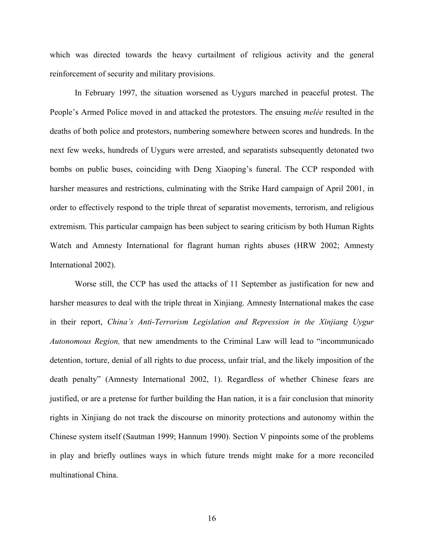which was directed towards the heavy curtailment of religious activity and the general reinforcement of security and military provisions.

In February 1997, the situation worsened as Uygurs marched in peaceful protest. The People's Armed Police moved in and attacked the protestors. The ensuing *melée* resulted in the deaths of both police and protestors, numbering somewhere between scores and hundreds. In the next few weeks, hundreds of Uygurs were arrested, and separatists subsequently detonated two bombs on public buses, coinciding with Deng Xiaoping's funeral. The CCP responded with harsher measures and restrictions, culminating with the Strike Hard campaign of April 2001, in order to effectively respond to the triple threat of separatist movements, terrorism, and religious extremism. This particular campaign has been subject to searing criticism by both Human Rights Watch and Amnesty International for flagrant human rights abuses (HRW 2002; Amnesty International 2002).

Worse still, the CCP has used the attacks of 11 September as justification for new and harsher measures to deal with the triple threat in Xinjiang. Amnesty International makes the case in their report, *China's Anti-Terrorism Legislation and Repression in the Xinjiang Uygur Autonomous Region,* that new amendments to the Criminal Law will lead to "incommunicado detention, torture, denial of all rights to due process, unfair trial, and the likely imposition of the death penalty" (Amnesty International 2002, 1). Regardless of whether Chinese fears are justified, or are a pretense for further building the Han nation, it is a fair conclusion that minority rights in Xinjiang do not track the discourse on minority protections and autonomy within the Chinese system itself (Sautman 1999; Hannum 1990). Section V pinpoints some of the problems in play and briefly outlines ways in which future trends might make for a more reconciled multinational China.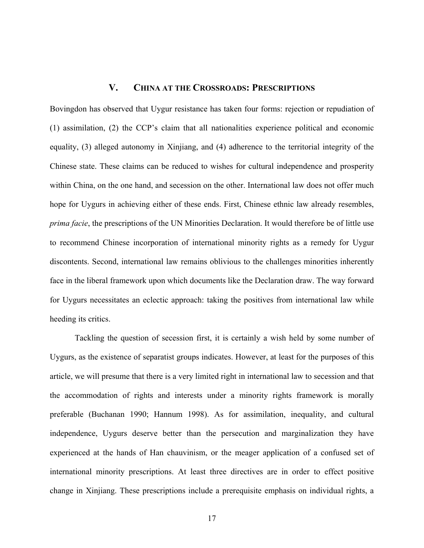# **V. CHINA AT THE CROSSROADS: PRESCRIPTIONS**

Bovingdon has observed that Uygur resistance has taken four forms: rejection or repudiation of (1) assimilation, (2) the CCP's claim that all nationalities experience political and economic equality, (3) alleged autonomy in Xinjiang, and (4) adherence to the territorial integrity of the Chinese state. These claims can be reduced to wishes for cultural independence and prosperity within China, on the one hand, and secession on the other. International law does not offer much hope for Uygurs in achieving either of these ends. First, Chinese ethnic law already resembles, *prima facie*, the prescriptions of the UN Minorities Declaration. It would therefore be of little use to recommend Chinese incorporation of international minority rights as a remedy for Uygur discontents. Second, international law remains oblivious to the challenges minorities inherently face in the liberal framework upon which documents like the Declaration draw. The way forward for Uygurs necessitates an eclectic approach: taking the positives from international law while heeding its critics.

Tackling the question of secession first, it is certainly a wish held by some number of Uygurs, as the existence of separatist groups indicates. However, at least for the purposes of this article, we will presume that there is a very limited right in international law to secession and that the accommodation of rights and interests under a minority rights framework is morally preferable (Buchanan 1990; Hannum 1998). As for assimilation, inequality, and cultural independence, Uygurs deserve better than the persecution and marginalization they have experienced at the hands of Han chauvinism, or the meager application of a confused set of international minority prescriptions. At least three directives are in order to effect positive change in Xinjiang. These prescriptions include a prerequisite emphasis on individual rights, a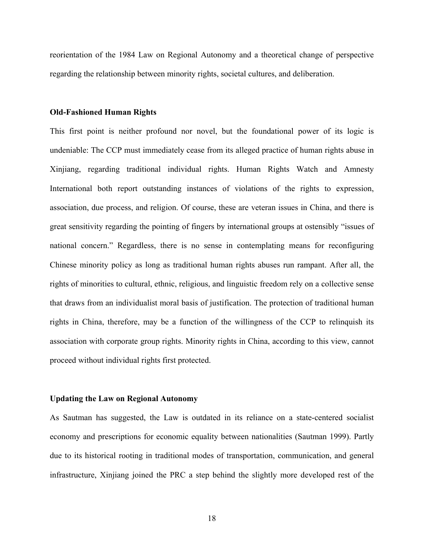reorientation of the 1984 Law on Regional Autonomy and a theoretical change of perspective regarding the relationship between minority rights, societal cultures, and deliberation.

#### **Old-Fashioned Human Rights**

This first point is neither profound nor novel, but the foundational power of its logic is undeniable: The CCP must immediately cease from its alleged practice of human rights abuse in Xinjiang, regarding traditional individual rights. Human Rights Watch and Amnesty International both report outstanding instances of violations of the rights to expression, association, due process, and religion. Of course, these are veteran issues in China, and there is great sensitivity regarding the pointing of fingers by international groups at ostensibly "issues of national concern." Regardless, there is no sense in contemplating means for reconfiguring Chinese minority policy as long as traditional human rights abuses run rampant. After all, the rights of minorities to cultural, ethnic, religious, and linguistic freedom rely on a collective sense that draws from an individualist moral basis of justification. The protection of traditional human rights in China, therefore, may be a function of the willingness of the CCP to relinquish its association with corporate group rights. Minority rights in China, according to this view, cannot proceed without individual rights first protected.

#### **Updating the Law on Regional Autonomy**

As Sautman has suggested, the Law is outdated in its reliance on a state-centered socialist economy and prescriptions for economic equality between nationalities (Sautman 1999). Partly due to its historical rooting in traditional modes of transportation, communication, and general infrastructure, Xinjiang joined the PRC a step behind the slightly more developed rest of the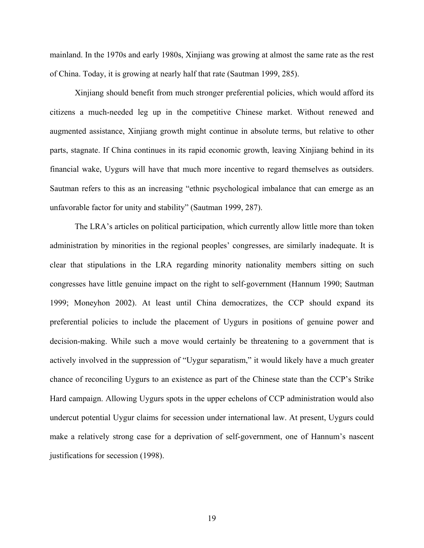mainland. In the 1970s and early 1980s, Xinjiang was growing at almost the same rate as the rest of China. Today, it is growing at nearly half that rate (Sautman 1999, 285).

Xinjiang should benefit from much stronger preferential policies, which would afford its citizens a much-needed leg up in the competitive Chinese market. Without renewed and augmented assistance, Xinjiang growth might continue in absolute terms, but relative to other parts, stagnate. If China continues in its rapid economic growth, leaving Xinjiang behind in its financial wake, Uygurs will have that much more incentive to regard themselves as outsiders. Sautman refers to this as an increasing "ethnic psychological imbalance that can emerge as an unfavorable factor for unity and stability" (Sautman 1999, 287).

The LRA's articles on political participation, which currently allow little more than token administration by minorities in the regional peoples' congresses, are similarly inadequate. It is clear that stipulations in the LRA regarding minority nationality members sitting on such congresses have little genuine impact on the right to self-government (Hannum 1990; Sautman 1999; Moneyhon 2002). At least until China democratizes, the CCP should expand its preferential policies to include the placement of Uygurs in positions of genuine power and decision-making. While such a move would certainly be threatening to a government that is actively involved in the suppression of "Uygur separatism," it would likely have a much greater chance of reconciling Uygurs to an existence as part of the Chinese state than the CCP's Strike Hard campaign. Allowing Uygurs spots in the upper echelons of CCP administration would also undercut potential Uygur claims for secession under international law. At present, Uygurs could make a relatively strong case for a deprivation of self-government, one of Hannum's nascent justifications for secession (1998).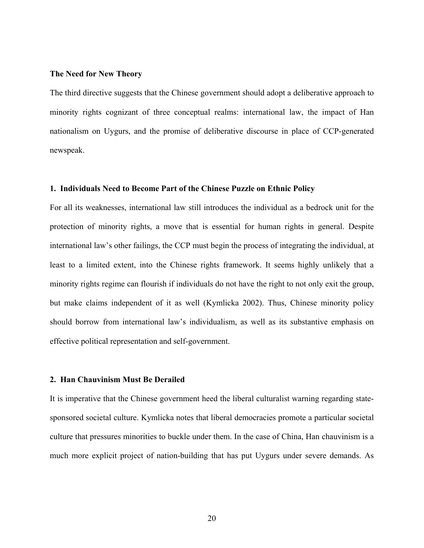#### **The Need for New Theory**

The third directive suggests that the Chinese government should adopt a deliberative approach to minority rights cognizant of three conceptual realms: international law, the impact of Han nationalism on Uygurs, and the promise of deliberative discourse in place of CCP-generated newspeak.

#### **1. Individuals Need to Become Part of the Chinese Puzzle on Ethnic Policy**

For all its weaknesses, international law still introduces the individual as a bedrock unit for the protection of minority rights, a move that is essential for human rights in general. Despite international law's other failings, the CCP must begin the process of integrating the individual, at least to a limited extent, into the Chinese rights framework. It seems highly unlikely that a minority rights regime can flourish if individuals do not have the right to not only exit the group, but make claims independent of it as well (Kymlicka 2002). Thus, Chinese minority policy should borrow from international law's individualism, as well as its substantive emphasis on effective political representation and self-government.

## **2. Han Chauvinism Must Be Derailed**

It is imperative that the Chinese government heed the liberal culturalist warning regarding statesponsored societal culture. Kymlicka notes that liberal democracies promote a particular societal culture that pressures minorities to buckle under them. In the case of China, Han chauvinism is a much more explicit project of nation-building that has put Uygurs under severe demands. As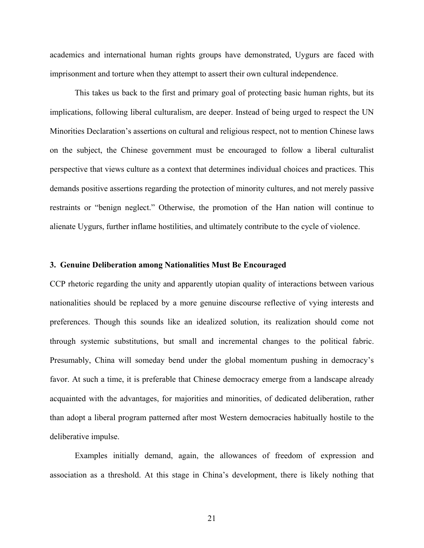academics and international human rights groups have demonstrated, Uygurs are faced with imprisonment and torture when they attempt to assert their own cultural independence.

This takes us back to the first and primary goal of protecting basic human rights, but its implications, following liberal culturalism, are deeper. Instead of being urged to respect the UN Minorities Declaration's assertions on cultural and religious respect, not to mention Chinese laws on the subject, the Chinese government must be encouraged to follow a liberal culturalist perspective that views culture as a context that determines individual choices and practices. This demands positive assertions regarding the protection of minority cultures, and not merely passive restraints or "benign neglect." Otherwise, the promotion of the Han nation will continue to alienate Uygurs, further inflame hostilities, and ultimately contribute to the cycle of violence.

## **3. Genuine Deliberation among Nationalities Must Be Encouraged**

CCP rhetoric regarding the unity and apparently utopian quality of interactions between various nationalities should be replaced by a more genuine discourse reflective of vying interests and preferences. Though this sounds like an idealized solution, its realization should come not through systemic substitutions, but small and incremental changes to the political fabric. Presumably, China will someday bend under the global momentum pushing in democracy's favor. At such a time, it is preferable that Chinese democracy emerge from a landscape already acquainted with the advantages, for majorities and minorities, of dedicated deliberation, rather than adopt a liberal program patterned after most Western democracies habitually hostile to the deliberative impulse.

Examples initially demand, again, the allowances of freedom of expression and association as a threshold. At this stage in China's development, there is likely nothing that

21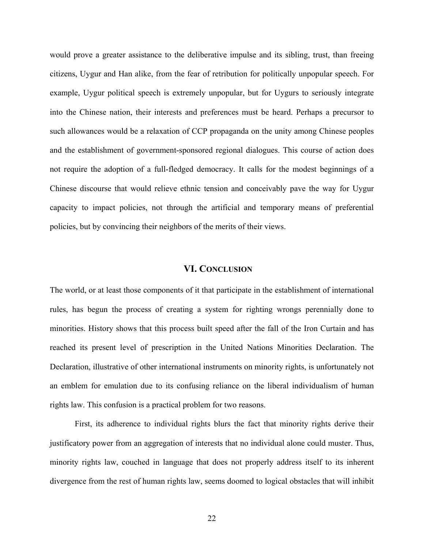would prove a greater assistance to the deliberative impulse and its sibling, trust, than freeing citizens, Uygur and Han alike, from the fear of retribution for politically unpopular speech. For example, Uygur political speech is extremely unpopular, but for Uygurs to seriously integrate into the Chinese nation, their interests and preferences must be heard. Perhaps a precursor to such allowances would be a relaxation of CCP propaganda on the unity among Chinese peoples and the establishment of government-sponsored regional dialogues. This course of action does not require the adoption of a full-fledged democracy. It calls for the modest beginnings of a Chinese discourse that would relieve ethnic tension and conceivably pave the way for Uygur capacity to impact policies, not through the artificial and temporary means of preferential policies, but by convincing their neighbors of the merits of their views.

# **VI. CONCLUSION**

The world, or at least those components of it that participate in the establishment of international rules, has begun the process of creating a system for righting wrongs perennially done to minorities. History shows that this process built speed after the fall of the Iron Curtain and has reached its present level of prescription in the United Nations Minorities Declaration. The Declaration, illustrative of other international instruments on minority rights, is unfortunately not an emblem for emulation due to its confusing reliance on the liberal individualism of human rights law. This confusion is a practical problem for two reasons.

First, its adherence to individual rights blurs the fact that minority rights derive their justificatory power from an aggregation of interests that no individual alone could muster. Thus, minority rights law, couched in language that does not properly address itself to its inherent divergence from the rest of human rights law, seems doomed to logical obstacles that will inhibit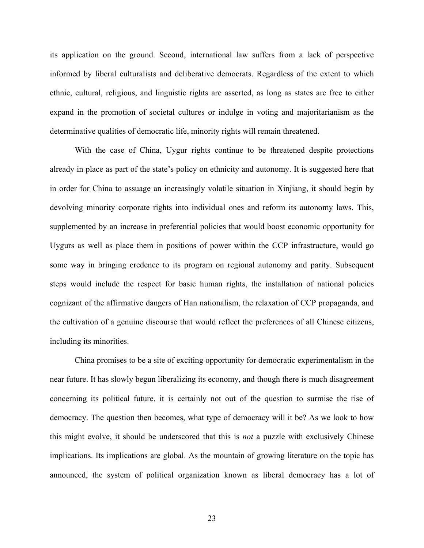its application on the ground. Second, international law suffers from a lack of perspective informed by liberal culturalists and deliberative democrats. Regardless of the extent to which ethnic, cultural, religious, and linguistic rights are asserted, as long as states are free to either expand in the promotion of societal cultures or indulge in voting and majoritarianism as the determinative qualities of democratic life, minority rights will remain threatened.

With the case of China, Uygur rights continue to be threatened despite protections already in place as part of the state's policy on ethnicity and autonomy. It is suggested here that in order for China to assuage an increasingly volatile situation in Xinjiang, it should begin by devolving minority corporate rights into individual ones and reform its autonomy laws. This, supplemented by an increase in preferential policies that would boost economic opportunity for Uygurs as well as place them in positions of power within the CCP infrastructure, would go some way in bringing credence to its program on regional autonomy and parity. Subsequent steps would include the respect for basic human rights, the installation of national policies cognizant of the affirmative dangers of Han nationalism, the relaxation of CCP propaganda, and the cultivation of a genuine discourse that would reflect the preferences of all Chinese citizens, including its minorities.

China promises to be a site of exciting opportunity for democratic experimentalism in the near future. It has slowly begun liberalizing its economy, and though there is much disagreement concerning its political future, it is certainly not out of the question to surmise the rise of democracy. The question then becomes, what type of democracy will it be? As we look to how this might evolve, it should be underscored that this is *not* a puzzle with exclusively Chinese implications. Its implications are global. As the mountain of growing literature on the topic has announced, the system of political organization known as liberal democracy has a lot of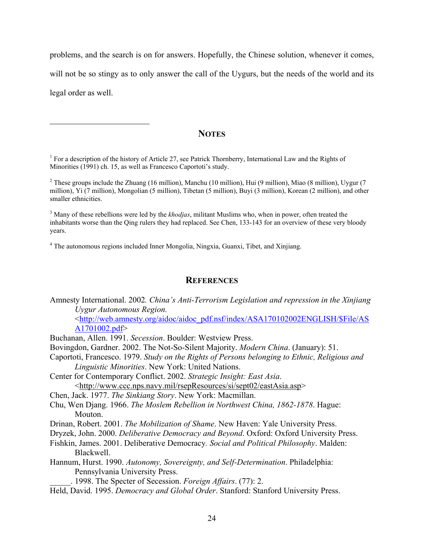problems, and the search is on for answers. Hopefully, the Chinese solution, whenever it comes, will not be so stingy as to only answer the call of the Uygurs, but the needs of the world and its legal order as well.

# **NOTES**

<sup>1</sup> For a description of the history of Article 27, see Patrick Thornberry, International Law and the Rights of Minorities (1991) ch. 15, as well as Francesco Caportoti's study.

<sup>2</sup> These groups include the Zhuang (16 million), Manchu (10 million), Hui (9 million), Miao (8 million), Uygur (7 million), Yi (7 million), Mongolian (5 million), Tibetan (5 million), Buyi (3 million), Korean (2 million), and other smaller ethnicities.

3 Many of these rebellions were led by the *khodjas*, militant Muslims who, when in power, often treated the inhabitants worse than the Qing rulers they had replaced. See Chen, 133-143 for an overview of these very bloody years.

<sup>4</sup> The autonomous regions included Inner Mongolia, Ningxia, Guanxi, Tibet, and Xinjiang.

## **REFERENCES**

Amnesty International. 2002*. China's Anti-Terrorism Legislation and repression in the Xinjiang Uygur Autonomous Region.*

<http://web.amnesty.org/aidoc/aidoc\_pdf.nsf/index/ASA170102002ENGLISH/\$File/AS A1701002.pdf>

Buchanan, Allen. 1991. *Secession*. Boulder: Westview Press.

 $\overline{a}$ 

Bovingdon, Gardner. 2002. The Not-So-Silent Majority. *Modern China*. (January): 51.

Caportoti, Francesco. 1979. *Study on the Rights of Persons belonging to Ethnic, Religious and Linguistic Minorities*. New York: United Nations.

Center for Contemporary Conflict. 2002. *Strategic Insight: East Asia*. <http://www.ccc.nps.navy.mil/rsepResources/si/sept02/eastAsia.asp>

Chen, Jack. 1977. *The Sinkiang Story*. New York: Macmillan.

Chu, Wen Djang. 1966. *The Moslem Rebellion in Northwest China, 1862-1878*. Hague: Mouton.

Drinan, Robert. 2001. *The Mobilization of Shame*. New Haven: Yale University Press.

Dryzek, John. 2000. *Deliberative Democracy and Beyond*. Oxford: Oxford University Press.

Fishkin, James. 2001. Deliberative Democracy*. Social and Political Philosophy*. Malden: Blackwell.

Hannum, Hurst. 1990. *Autonomy, Sovereignty, and Self-Determination*. Philadelphia: Pennsylvania University Press.

\_\_\_\_\_. 1998. The Specter of Secession. *Foreign Affairs*. (77): 2.

Held, David. 1995. *Democracy and Global Order*. Stanford: Stanford University Press.